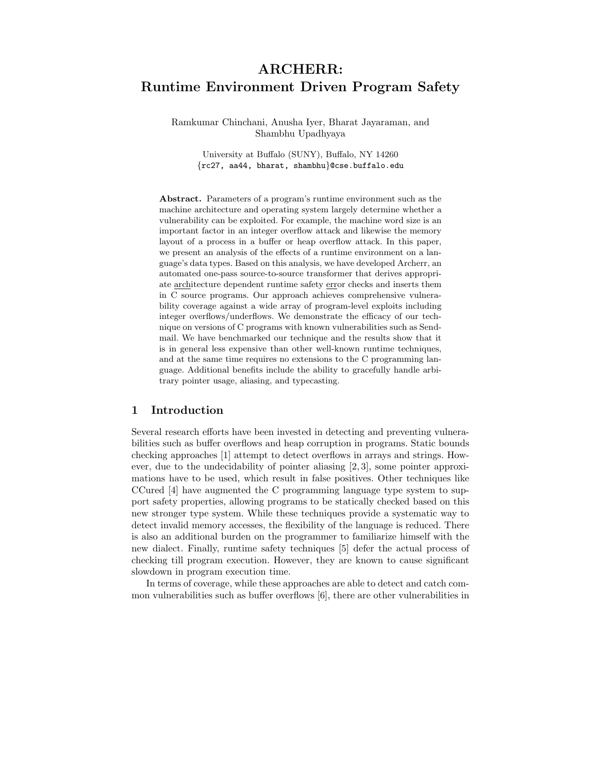# ARCHERR: Runtime Environment Driven Program Safety

Ramkumar Chinchani, Anusha Iyer, Bharat Jayaraman, and Shambhu Upadhyaya

> University at Buffalo (SUNY), Buffalo, NY 14260 {rc27, aa44, bharat, shambhu}@cse.buffalo.edu

Abstract. Parameters of a program's runtime environment such as the machine architecture and operating system largely determine whether a vulnerability can be exploited. For example, the machine word size is an important factor in an integer overflow attack and likewise the memory layout of a process in a buffer or heap overflow attack. In this paper, we present an analysis of the effects of a runtime environment on a language's data types. Based on this analysis, we have developed Archerr, an automated one-pass source-to-source transformer that derives appropriate architecture dependent runtime safety error checks and inserts them in C source programs. Our approach achieves comprehensive vulnerability coverage against a wide array of program-level exploits including integer overflows/underflows. We demonstrate the efficacy of our technique on versions of C programs with known vulnerabilities such as Sendmail. We have benchmarked our technique and the results show that it is in general less expensive than other well-known runtime techniques, and at the same time requires no extensions to the C programming language. Additional benefits include the ability to gracefully handle arbitrary pointer usage, aliasing, and typecasting.

### 1 Introduction

Several research efforts have been invested in detecting and preventing vulnerabilities such as buffer overflows and heap corruption in programs. Static bounds checking approaches [1] attempt to detect overflows in arrays and strings. However, due to the undecidability of pointer aliasing [2, 3], some pointer approximations have to be used, which result in false positives. Other techniques like CCured [4] have augmented the C programming language type system to support safety properties, allowing programs to be statically checked based on this new stronger type system. While these techniques provide a systematic way to detect invalid memory accesses, the flexibility of the language is reduced. There is also an additional burden on the programmer to familiarize himself with the new dialect. Finally, runtime safety techniques [5] defer the actual process of checking till program execution. However, they are known to cause significant slowdown in program execution time.

In terms of coverage, while these approaches are able to detect and catch common vulnerabilities such as buffer overflows [6], there are other vulnerabilities in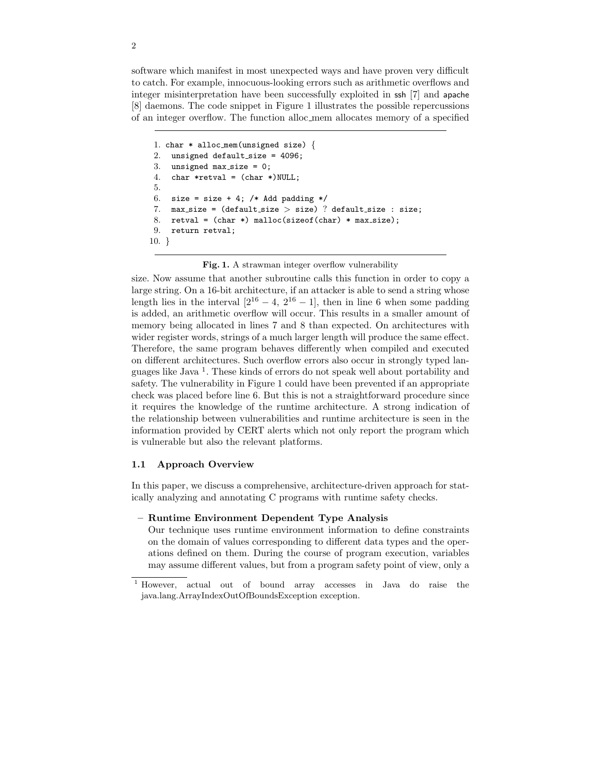software which manifest in most unexpected ways and have proven very difficult to catch. For example, innocuous-looking errors such as arithmetic overflows and integer misinterpretation have been successfully exploited in ssh [7] and apache [8] daemons. The code snippet in Figure 1 illustrates the possible repercussions of an integer overflow. The function alloc mem allocates memory of a specified

```
1. char * alloc mem(unsigned size) {
2. unsigned default size = 4096;
3. unsigned max size = 0;
4. char *retval = (char *)NULL;
5.
6. size = size + 4; /* Add padding */
7. max size = (detault size > size)? default size : size;
8. retval = (char * ) malloc(sizeof(char) * max_size);
9. return retval;
10. }
```
#### Fig. 1. A strawman integer overflow vulnerability

size. Now assume that another subroutine calls this function in order to copy a large string. On a 16-bit architecture, if an attacker is able to send a string whose length lies in the interval  $[2^{16} - 4, 2^{16} - 1]$ , then in line 6 when some padding is added, an arithmetic overflow will occur. This results in a smaller amount of memory being allocated in lines 7 and 8 than expected. On architectures with wider register words, strings of a much larger length will produce the same effect. Therefore, the same program behaves differently when compiled and executed on different architectures. Such overflow errors also occur in strongly typed languages like Java <sup>1</sup> . These kinds of errors do not speak well about portability and safety. The vulnerability in Figure 1 could have been prevented if an appropriate check was placed before line 6. But this is not a straightforward procedure since it requires the knowledge of the runtime architecture. A strong indication of the relationship between vulnerabilities and runtime architecture is seen in the information provided by CERT alerts which not only report the program which is vulnerable but also the relevant platforms.

### 1.1 Approach Overview

In this paper, we discuss a comprehensive, architecture-driven approach for statically analyzing and annotating C programs with runtime safety checks.

### – Runtime Environment Dependent Type Analysis

Our technique uses runtime environment information to define constraints on the domain of values corresponding to different data types and the operations defined on them. During the course of program execution, variables may assume different values, but from a program safety point of view, only a

<sup>1</sup> However, actual out of bound array accesses in Java do raise the java.lang.ArrayIndexOutOfBoundsException exception.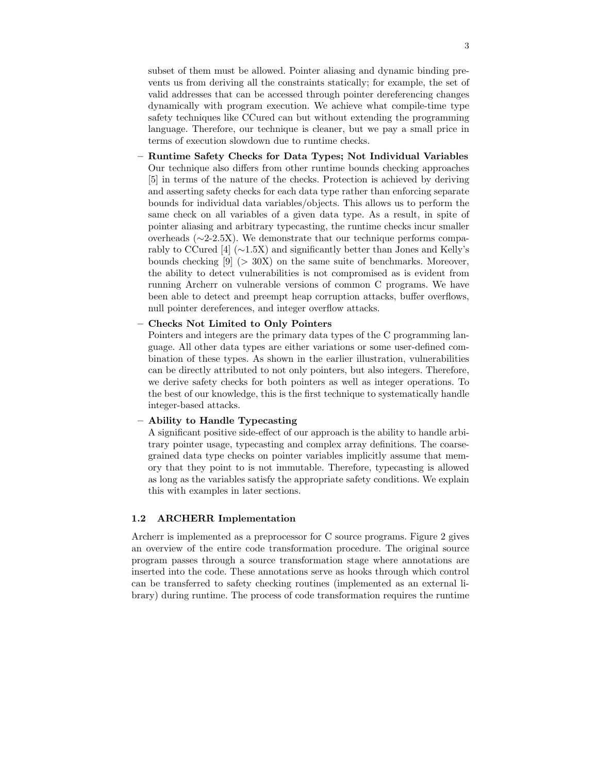subset of them must be allowed. Pointer aliasing and dynamic binding prevents us from deriving all the constraints statically; for example, the set of valid addresses that can be accessed through pointer dereferencing changes dynamically with program execution. We achieve what compile-time type safety techniques like CCured can but without extending the programming language. Therefore, our technique is cleaner, but we pay a small price in terms of execution slowdown due to runtime checks.

– Runtime Safety Checks for Data Types; Not Individual Variables Our technique also differs from other runtime bounds checking approaches [5] in terms of the nature of the checks. Protection is achieved by deriving and asserting safety checks for each data type rather than enforcing separate bounds for individual data variables/objects. This allows us to perform the same check on all variables of a given data type. As a result, in spite of pointer aliasing and arbitrary typecasting, the runtime checks incur smaller overheads (∼2-2.5X). We demonstrate that our technique performs comparably to CCured [4] (∼1.5X) and significantly better than Jones and Kelly's bounds checking  $[9]$  ( $>$  30X) on the same suite of benchmarks. Moreover, the ability to detect vulnerabilities is not compromised as is evident from running Archerr on vulnerable versions of common C programs. We have been able to detect and preempt heap corruption attacks, buffer overflows, null pointer dereferences, and integer overflow attacks.

### – Checks Not Limited to Only Pointers

Pointers and integers are the primary data types of the C programming language. All other data types are either variations or some user-defined combination of these types. As shown in the earlier illustration, vulnerabilities can be directly attributed to not only pointers, but also integers. Therefore, we derive safety checks for both pointers as well as integer operations. To the best of our knowledge, this is the first technique to systematically handle integer-based attacks.

### – Ability to Handle Typecasting

A significant positive side-effect of our approach is the ability to handle arbitrary pointer usage, typecasting and complex array definitions. The coarsegrained data type checks on pointer variables implicitly assume that memory that they point to is not immutable. Therefore, typecasting is allowed as long as the variables satisfy the appropriate safety conditions. We explain this with examples in later sections.

### 1.2 ARCHERR Implementation

Archerr is implemented as a preprocessor for C source programs. Figure 2 gives an overview of the entire code transformation procedure. The original source program passes through a source transformation stage where annotations are inserted into the code. These annotations serve as hooks through which control can be transferred to safety checking routines (implemented as an external library) during runtime. The process of code transformation requires the runtime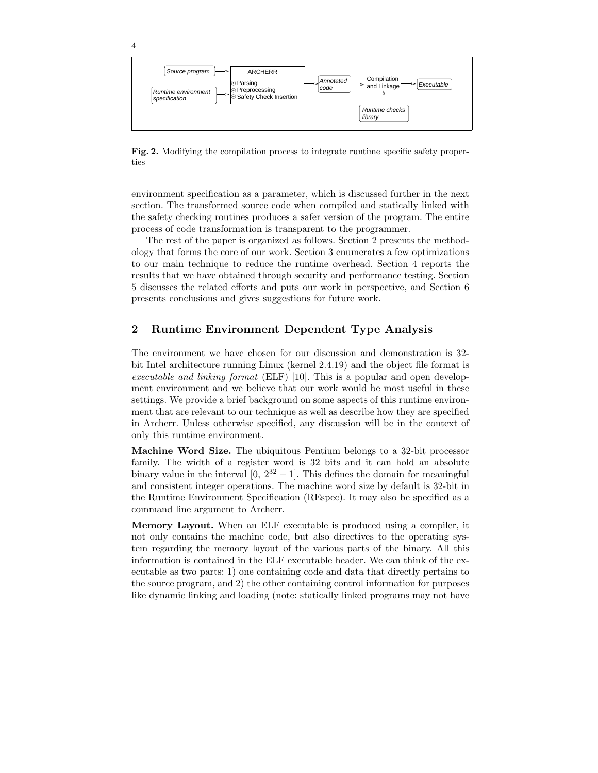



Fig. 2. Modifying the compilation process to integrate runtime specific safety properties

environment specification as a parameter, which is discussed further in the next section. The transformed source code when compiled and statically linked with the safety checking routines produces a safer version of the program. The entire process of code transformation is transparent to the programmer.

The rest of the paper is organized as follows. Section 2 presents the methodology that forms the core of our work. Section 3 enumerates a few optimizations to our main technique to reduce the runtime overhead. Section 4 reports the results that we have obtained through security and performance testing. Section 5 discusses the related efforts and puts our work in perspective, and Section 6 presents conclusions and gives suggestions for future work.

# 2 Runtime Environment Dependent Type Analysis

The environment we have chosen for our discussion and demonstration is 32 bit Intel architecture running Linux (kernel 2.4.19) and the object file format is executable and linking format (ELF) [10]. This is a popular and open development environment and we believe that our work would be most useful in these settings. We provide a brief background on some aspects of this runtime environment that are relevant to our technique as well as describe how they are specified in Archerr. Unless otherwise specified, any discussion will be in the context of only this runtime environment.

Machine Word Size. The ubiquitous Pentium belongs to a 32-bit processor family. The width of a register word is 32 bits and it can hold an absolute binary value in the interval  $[0, 2^{32} - 1]$ . This defines the domain for meaningful and consistent integer operations. The machine word size by default is 32-bit in the Runtime Environment Specification (REspec). It may also be specified as a command line argument to Archerr.

Memory Layout. When an ELF executable is produced using a compiler, it not only contains the machine code, but also directives to the operating system regarding the memory layout of the various parts of the binary. All this information is contained in the ELF executable header. We can think of the executable as two parts: 1) one containing code and data that directly pertains to the source program, and 2) the other containing control information for purposes like dynamic linking and loading (note: statically linked programs may not have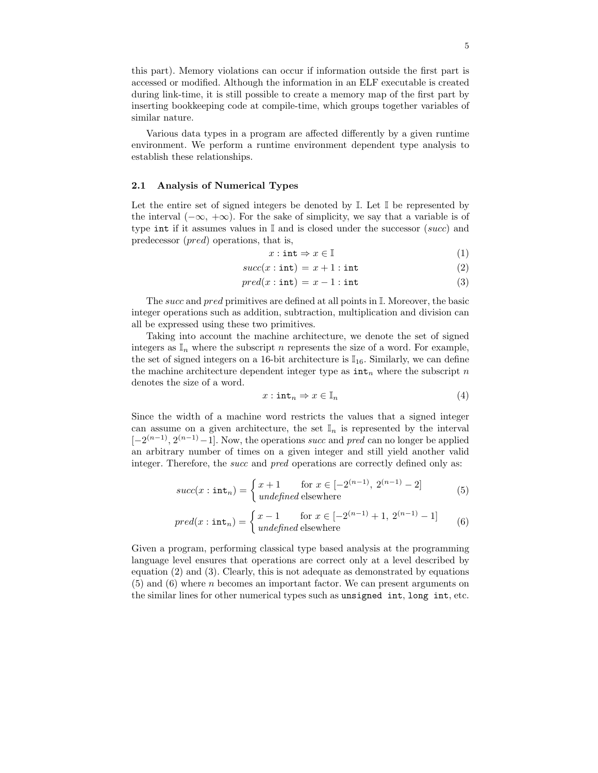this part). Memory violations can occur if information outside the first part is accessed or modified. Although the information in an ELF executable is created during link-time, it is still possible to create a memory map of the first part by inserting bookkeeping code at compile-time, which groups together variables of similar nature.

Various data types in a program are affected differently by a given runtime environment. We perform a runtime environment dependent type analysis to establish these relationships.

#### 2.1 Analysis of Numerical Types

Let the entire set of signed integers be denoted by  $\mathbb{I}$ . Let  $\mathbb{I}$  be represented by the interval  $(-\infty, +\infty)$ . For the sake of simplicity, we say that a variable is of type int if it assumes values in  $\mathbb I$  and is closed under the successor (succ) and predecessor (pred) operations, that is,

$$
x: \text{int} \Rightarrow x \in \mathbb{I} \tag{1}
$$

$$
succ(x : \text{int}) = x + 1 : \text{int}
$$
 (2)

$$
pred(x : \text{int}) = x - 1 : \text{int}
$$
\n(3)

The succ and pred primitives are defined at all points in I. Moreover, the basic integer operations such as addition, subtraction, multiplication and division can all be expressed using these two primitives.

Taking into account the machine architecture, we denote the set of signed integers as  $\mathbb{I}_n$  where the subscript n represents the size of a word. For example, the set of signed integers on a 16-bit architecture is  $\mathbb{I}_{16}$ . Similarly, we can define the machine architecture dependent integer type as  $\text{int}_n$  where the subscript n denotes the size of a word.

$$
x: \mathsf{int}_n \Rightarrow x \in \mathbb{I}_n \tag{4}
$$

Since the width of a machine word restricts the values that a signed integer can assume on a given architecture, the set  $\mathbb{I}_n$  is represented by the interval  $[-2^{(n-1)}, 2^{(n-1)}-1]$ . Now, the operations *succ* and *pred* can no longer be applied an arbitrary number of times on a given integer and still yield another valid integer. Therefore, the *succ* and *pred* operations are correctly defined only as:

$$
succ(x:\text{int}_n) = \begin{cases} x+1 & \text{for } x \in [-2^{(n-1)}, 2^{(n-1)} - 2] \\ \text{undefined elsewhere} \end{cases} \tag{5}
$$

$$
pred(x : \text{int}_{n}) = \begin{cases} x - 1 & \text{for } x \in [-2^{(n-1)} + 1, 2^{(n-1)} - 1] \\ undefined \text{ elsewhere} \end{cases}
$$
(6)

Given a program, performing classical type based analysis at the programming language level ensures that operations are correct only at a level described by equation (2) and (3). Clearly, this is not adequate as demonstrated by equations  $(5)$  and  $(6)$  where *n* becomes an important factor. We can present arguments on the similar lines for other numerical types such as unsigned int, long int, etc.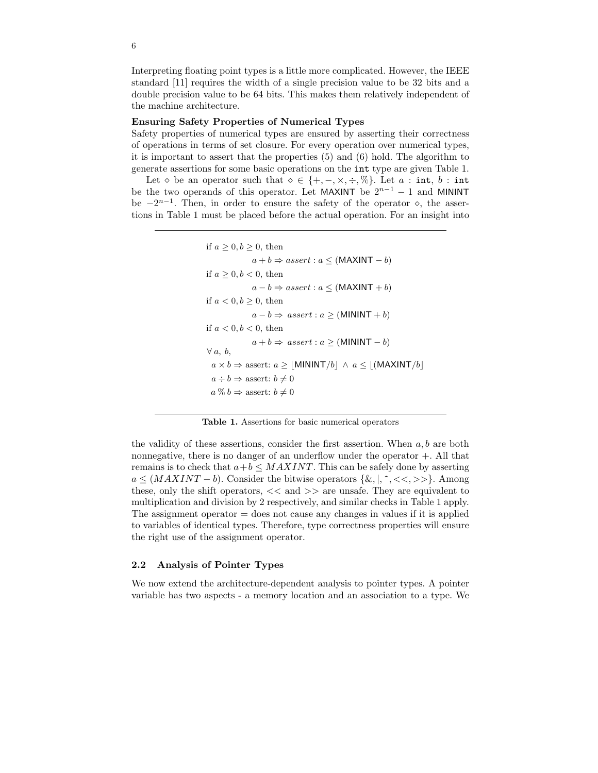Interpreting floating point types is a little more complicated. However, the IEEE standard [11] requires the width of a single precision value to be 32 bits and a double precision value to be 64 bits. This makes them relatively independent of the machine architecture.

#### Ensuring Safety Properties of Numerical Types

Safety properties of numerical types are ensured by asserting their correctness of operations in terms of set closure. For every operation over numerical types, it is important to assert that the properties (5) and (6) hold. The algorithm to generate assertions for some basic operations on the int type are given Table 1.

Let  $\diamond$  be an operator such that  $\diamond \in \{+, -, \times, \div, \% \}$ . Let  $a : \text{int}, b : \text{int}$ be the two operands of this operator. Let MAXINT be  $2^{n-1} - 1$  and MININT be  $-2^{n-1}$ . Then, in order to ensure the safety of the operator  $\diamond$ , the assertions in Table 1 must be placed before the actual operation. For an insight into

```
if a \geq 0, b \geq 0, then
               a + b \Rightarrow assert : a \leq (MAXINT - b)if a \geq 0, b < 0, then
                a - b \Rightarrow assert: a \leq (MAXINT + b)if a < 0, b \ge 0, then
                a - b \Rightarrow assert : a > (MININT + b)if a < 0, b < 0, then
                a + b \Rightarrow assert : a \geq (MININT - b)\forall a, b,a \times b ⇒ assert: a \geq |\text{MININT}/b| ∧ a \leq |(\text{MAXINT}/b|)a \div b \Rightarrow assert: b \neq 0a\,\% \,b \Rightarrow \text{assert: } b \neq 0
```
Table 1. Assertions for basic numerical operators

the validity of these assertions, consider the first assertion. When  $a, b$  are both nonnegative, there is no danger of an underflow under the operator +. All that remains is to check that  $a+b \leq MAXINT$ . This can be safely done by asserting  $a \leq (MAXINT - b)$ . Consider the bitwise operators  $\{x, \xi, \xi, \xi, \xi\}$ . Among these, only the shift operators,  $<<$  and  $>>$  are unsafe. They are equivalent to multiplication and division by 2 respectively, and similar checks in Table 1 apply. The assignment operator  $=$  does not cause any changes in values if it is applied to variables of identical types. Therefore, type correctness properties will ensure the right use of the assignment operator.

### 2.2 Analysis of Pointer Types

We now extend the architecture-dependent analysis to pointer types. A pointer variable has two aspects - a memory location and an association to a type. We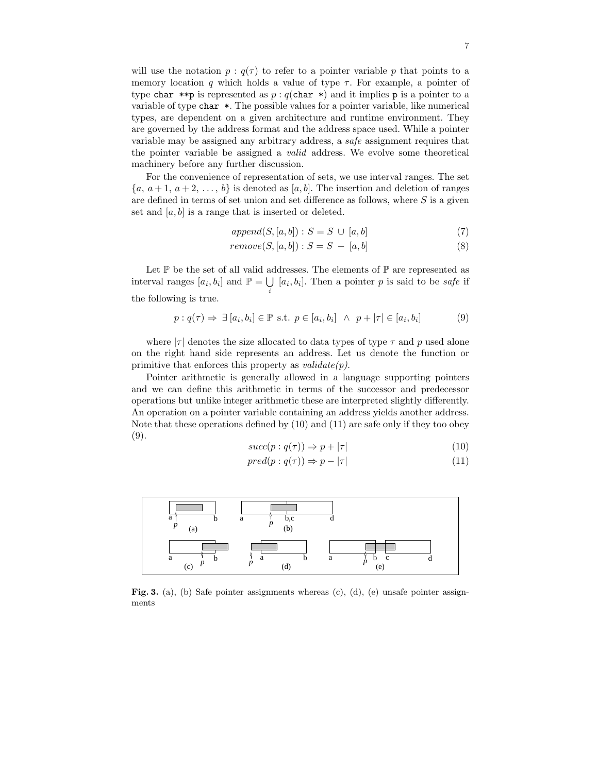will use the notation  $p : q(\tau)$  to refer to a pointer variable p that points to a memory location q which holds a value of type  $\tau$ . For example, a pointer of type char \*\*p is represented as  $p : q$  (char \*) and it implies p is a pointer to a variable of type char \*. The possible values for a pointer variable, like numerical types, are dependent on a given architecture and runtime environment. They are governed by the address format and the address space used. While a pointer variable may be assigned any arbitrary address, a safe assignment requires that the pointer variable be assigned a valid address. We evolve some theoretical machinery before any further discussion.

For the convenience of representation of sets, we use interval ranges. The set  $\{a, a+1, a+2, \ldots, b\}$  is denoted as [a, b]. The insertion and deletion of ranges are defined in terms of set union and set difference as follows, where  $S$  is a given set and  $[a, b]$  is a range that is inserted or deleted.

$$
append(S, [a, b]): S = S \cup [a, b]
$$
\n
$$
(7)
$$

$$
remove(S, [a, b]) : S = S - [a, b]
$$
\n(8)

Let  $\mathbb P$  be the set of all valid addresses. The elements of  $\mathbb P$  are represented as interval ranges  $[a_i, b_i]$  and  $\mathbb{P} = \bigcup_i [a_i, b_i]$ . Then a pointer p is said to be *safe* if the following is true.

$$
p: q(\tau) \Rightarrow \exists [a_i, b_i] \in \mathbb{P} \text{ s.t. } p \in [a_i, b_i] \land p + |\tau| \in [a_i, b_i]
$$
(9)

where  $|\tau|$  denotes the size allocated to data types of type  $\tau$  and p used alone on the right hand side represents an address. Let us denote the function or primitive that enforces this property as *validate(p)*.

Pointer arithmetic is generally allowed in a language supporting pointers and we can define this arithmetic in terms of the successor and predecessor operations but unlike integer arithmetic these are interpreted slightly differently. An operation on a pointer variable containing an address yields another address. Note that these operations defined by (10) and (11) are safe only if they too obey (9).

$$
succ(p:q(\tau)) \Rightarrow p+|\tau| \tag{10}
$$

$$
pred(p:q(\tau)) \Rightarrow p - |\tau| \tag{11}
$$



Fig. 3. (a), (b) Safe pointer assignments whereas (c), (d), (e) unsafe pointer assignments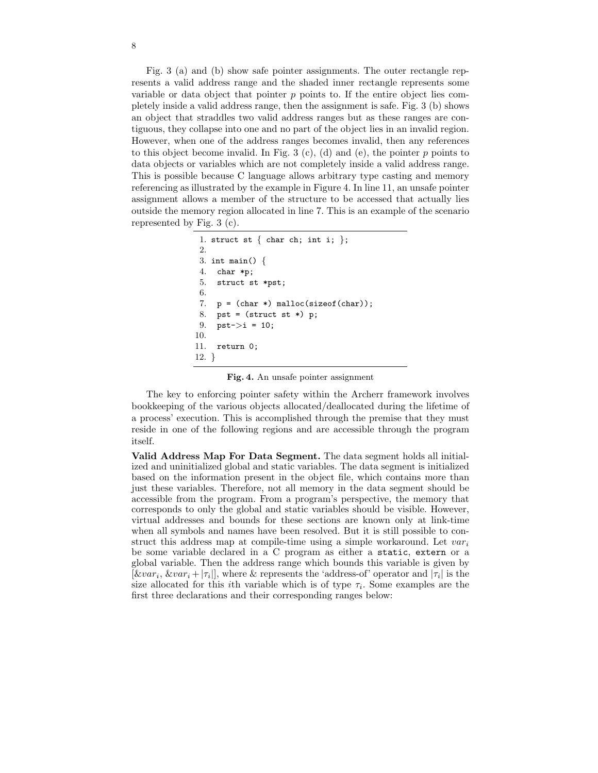Fig. 3 (a) and (b) show safe pointer assignments. The outer rectangle represents a valid address range and the shaded inner rectangle represents some variable or data object that pointer  $p$  points to. If the entire object lies completely inside a valid address range, then the assignment is safe. Fig. 3 (b) shows an object that straddles two valid address ranges but as these ranges are contiguous, they collapse into one and no part of the object lies in an invalid region. However, when one of the address ranges becomes invalid, then any references to this object become invalid. In Fig. 3 (c), (d) and (e), the pointer  $p$  points to data objects or variables which are not completely inside a valid address range. This is possible because C language allows arbitrary type casting and memory referencing as illustrated by the example in Figure 4. In line 11, an unsafe pointer assignment allows a member of the structure to be accessed that actually lies outside the memory region allocated in line 7. This is an example of the scenario represented by Fig. 3 (c).

```
1. struct st \{ char ch; int i; \};2.
3. int main() \{4. char *p;
5. struct st *pst;
6.
7. p = (char * ) malloc(sizeof(char));8. pst = (struct st *) p;9. pst->i = 10;10.
11. return 0;
12. }
```
Fig. 4. An unsafe pointer assignment

The key to enforcing pointer safety within the Archerr framework involves bookkeeping of the various objects allocated/deallocated during the lifetime of a process' execution. This is accomplished through the premise that they must reside in one of the following regions and are accessible through the program itself.

Valid Address Map For Data Segment. The data segment holds all initialized and uninitialized global and static variables. The data segment is initialized based on the information present in the object file, which contains more than just these variables. Therefore, not all memory in the data segment should be accessible from the program. From a program's perspective, the memory that corresponds to only the global and static variables should be visible. However, virtual addresses and bounds for these sections are known only at link-time when all symbols and names have been resolved. But it is still possible to construct this address map at compile-time using a simple workaround. Let  $var_i$ be some variable declared in a C program as either a static, extern or a global variable. Then the address range which bounds this variable is given by  $[\&var_i, \&var_i + |\tau_i|]$ , where  $\&$  represents the 'address-of' operator and  $|\tau_i|$  is the size allocated for this *i*th variable which is of type  $\tau_i$ . Some examples are the first three declarations and their corresponding ranges below: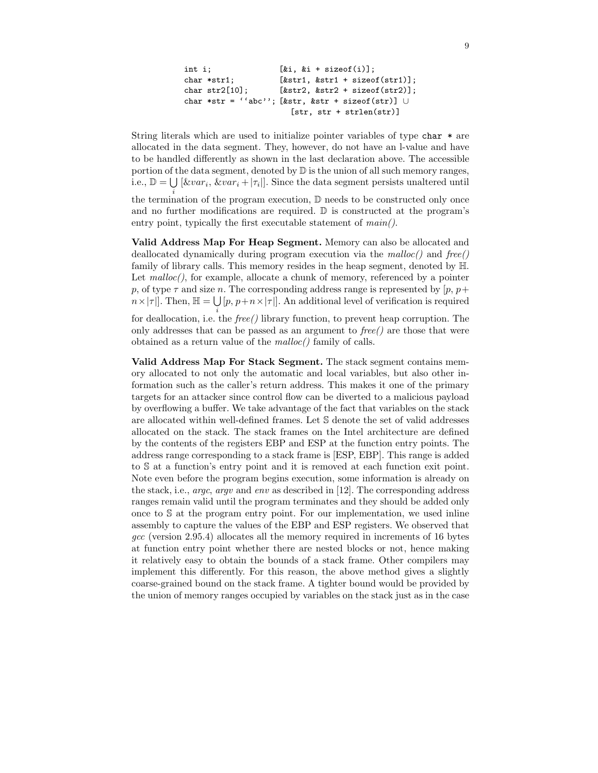```
int i; [&i, &i + sizeof(i)];
char *str1; [&str1, &str1 + sizeof(str1)];
char str2[10]; [kstr2, kstr2 + sizeof(str2)];
char *str = ''abc''; [&str, &str + sizeof(str)] ∪
                    [str, str + strlen(str)]
```
String literals which are used to initialize pointer variables of type char  $*$  are allocated in the data segment. They, however, do not have an l-value and have to be handled differently as shown in the last declaration above. The accessible portion of the data segment, denoted by D is the union of all such memory ranges, i.e.,  $\mathbb{D} = \bigcup_i [\&var_i, \&var_i + |\tau_i|]$ . Since the data segment persists unaltered until

the termination of the program execution, D needs to be constructed only once and no further modifications are required.  $\mathbb{D}$  is constructed at the program's entry point, typically the first executable statement of  $main$ .

Valid Address Map For Heap Segment. Memory can also be allocated and deallocated dynamically during program execution via the  $\textit{malloc}()$  and  $\textit{free}()$ family of library calls. This memory resides in the heap segment, denoted by H. Let  $\text{malloc}(\cdot)$ , for example, allocate a chunk of memory, referenced by a pointer p, of type  $\tau$  and size n. The corresponding address range is represented by  $[p, p+$  $n \times |\tau|$ . Then,  $\mathbb{H} = \bigcup_i [p, p+n \times |\tau|]$ . An additional level of verification is required for deallocation, i.e. the  $free()$  library function, to prevent heap corruption. The only addresses that can be passed as an argument to  $free()$  are those that were

obtained as a return value of the  $malloc()$  family of calls.

Valid Address Map For Stack Segment. The stack segment contains memory allocated to not only the automatic and local variables, but also other information such as the caller's return address. This makes it one of the primary targets for an attacker since control flow can be diverted to a malicious payload by overflowing a buffer. We take advantage of the fact that variables on the stack are allocated within well-defined frames. Let S denote the set of valid addresses allocated on the stack. The stack frames on the Intel architecture are defined by the contents of the registers EBP and ESP at the function entry points. The address range corresponding to a stack frame is [ESP, EBP]. This range is added to S at a function's entry point and it is removed at each function exit point. Note even before the program begins execution, some information is already on the stack, i.e., argc, argv and env as described in [12]. The corresponding address ranges remain valid until the program terminates and they should be added only once to S at the program entry point. For our implementation, we used inline assembly to capture the values of the EBP and ESP registers. We observed that gcc (version 2.95.4) allocates all the memory required in increments of 16 bytes at function entry point whether there are nested blocks or not, hence making it relatively easy to obtain the bounds of a stack frame. Other compilers may implement this differently. For this reason, the above method gives a slightly coarse-grained bound on the stack frame. A tighter bound would be provided by the union of memory ranges occupied by variables on the stack just as in the case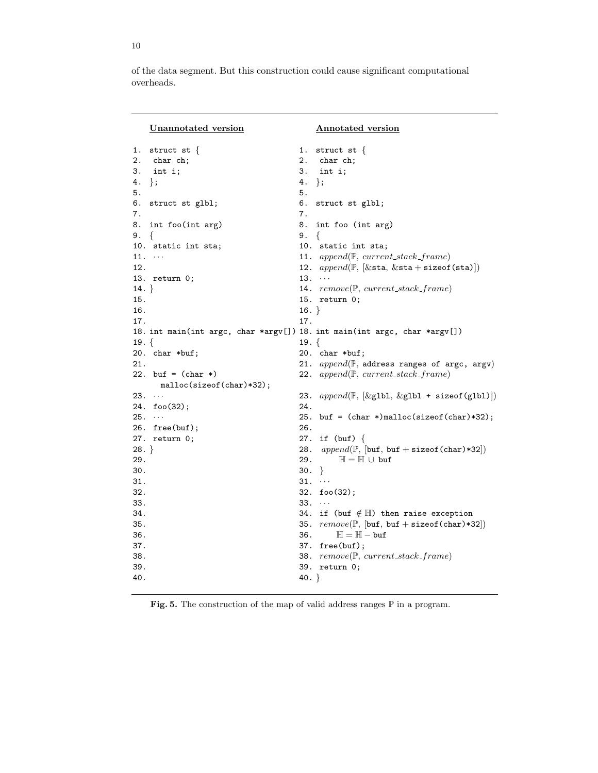Unannotated version Annotated version 1. struct st  $\{$  1. struct st  $\{$ 2. char ch; 2. char ch; 3. int i; 3. int i; 4. };  $4. \}$ ;  $5.$   $5.$ 6. struct st glbl; 6. struct st glbl; 7. 7. 8. int foo(int arg) 8. int foo (int arg) 9. { 9. { 10. static int sta; 10. static int sta; 11.  $\cdots$  11. append(P, current stack frame) 12.  $12. \text{append}(\mathbb{P}, [\& \text{sta}, \& \text{sta} + \text{sizeof}(\text{sta})])$ 13. return 0; 13. · · · 14.  $\{$ 14.  $remove(\mathbb{P}, current\_stack\_frame)$ 15. 15. return 0; 16.  $16.$ 17. 17. 18. int main(int argc, char \*argv[]) 18. int main(int argc, char \*argv[]) 19.  $\{$  19.  $\{$ 20. char \*buf; 20. char \*buf; 21. 21. append(P, address ranges of argc, argv) 22. buf = (char \*) 22.  $append(\mathbb{P}, current\_stack-frame)$ malloc(sizeof(char)\*32); 23.  $\cdots$  23.  $append(\mathbb{P}, [\&g1b1, \&g1b1 + \text{sizeof}(g1b1)])$ 24. foo(32); 24. 25.  $\cdots$  25. buf = (char \*)malloc(sizeof(char)\*32); 26. free(buf); 26. 27. return 0; 27. if (buf) { 28.  $\}$  28. append( $\mathbb{P}$ , [buf, buf + sizeof(char)\*32]) 29.  $\mathbb{H} = \mathbb{H} \cup \text{buf}$  $30.$  30.  $31.$   $31.$   $\cdots$ 32. 32. foo(32);  $33.$   $33.$ 34.  $34.$  if (buf  $\notin$  H) then raise exception 35.  $remove(\mathbb{P}, \text{[buf, but + sizeof(char)*32]})$ 36.  $\mathbb{H} = \mathbb{H} - \text{buf}$ 37. 37. free(buf);  $38.$   $38.$   $remove(\mathbb{P}, current\_stack\_frame)$ 39. 39. return 0; 40. 40. }

of the data segment. But this construction could cause significant computational overheads.

Fig. 5. The construction of the map of valid address ranges  $\mathbb P$  in a program.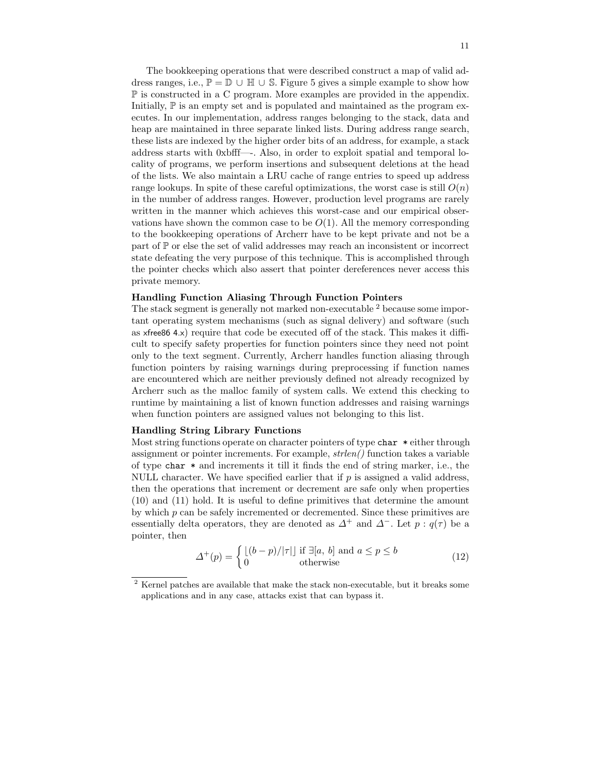The bookkeeping operations that were described construct a map of valid address ranges, i.e.,  $\mathbb{P} = \mathbb{D} \cup \mathbb{H} \cup \mathbb{S}$ . Figure 5 gives a simple example to show how P is constructed in a C program. More examples are provided in the appendix. Initially,  $\mathbb P$  is an empty set and is populated and maintained as the program executes. In our implementation, address ranges belonging to the stack, data and heap are maintained in three separate linked lists. During address range search, these lists are indexed by the higher order bits of an address, for example, a stack address starts with 0xbfff—-. Also, in order to exploit spatial and temporal locality of programs, we perform insertions and subsequent deletions at the head of the lists. We also maintain a LRU cache of range entries to speed up address range lookups. In spite of these careful optimizations, the worst case is still  $O(n)$ in the number of address ranges. However, production level programs are rarely written in the manner which achieves this worst-case and our empirical observations have shown the common case to be  $O(1)$ . All the memory corresponding to the bookkeeping operations of Archerr have to be kept private and not be a part of P or else the set of valid addresses may reach an inconsistent or incorrect state defeating the very purpose of this technique. This is accomplished through the pointer checks which also assert that pointer dereferences never access this private memory.

### Handling Function Aliasing Through Function Pointers

The stack segment is generally not marked non-executable <sup>2</sup> because some important operating system mechanisms (such as signal delivery) and software (such as xfree86 4.x) require that code be executed off of the stack. This makes it difficult to specify safety properties for function pointers since they need not point only to the text segment. Currently, Archerr handles function aliasing through function pointers by raising warnings during preprocessing if function names are encountered which are neither previously defined not already recognized by Archerr such as the malloc family of system calls. We extend this checking to runtime by maintaining a list of known function addresses and raising warnings when function pointers are assigned values not belonging to this list.

### Handling String Library Functions

Most string functions operate on character pointers of type char \* either through assignment or pointer increments. For example,  $\text{strlen}$  function takes a variable of type char \* and increments it till it finds the end of string marker, i.e., the NULL character. We have specified earlier that if  $p$  is assigned a valid address, then the operations that increment or decrement are safe only when properties (10) and (11) hold. It is useful to define primitives that determine the amount by which  $p$  can be safely incremented or decremented. Since these primitives are essentially delta operators, they are denoted as  $\Delta^+$  and  $\Delta^-$ . Let  $p : q(\tau)$  be a pointer, then

$$
\Delta^+(p) = \begin{cases} \lfloor (b-p)/|\tau| \rfloor & \text{if } \exists [a, b] \text{ and } a \le p \le b \\ 0 & \text{otherwise} \end{cases}
$$
(12)

<sup>2</sup> Kernel patches are available that make the stack non-executable, but it breaks some applications and in any case, attacks exist that can bypass it.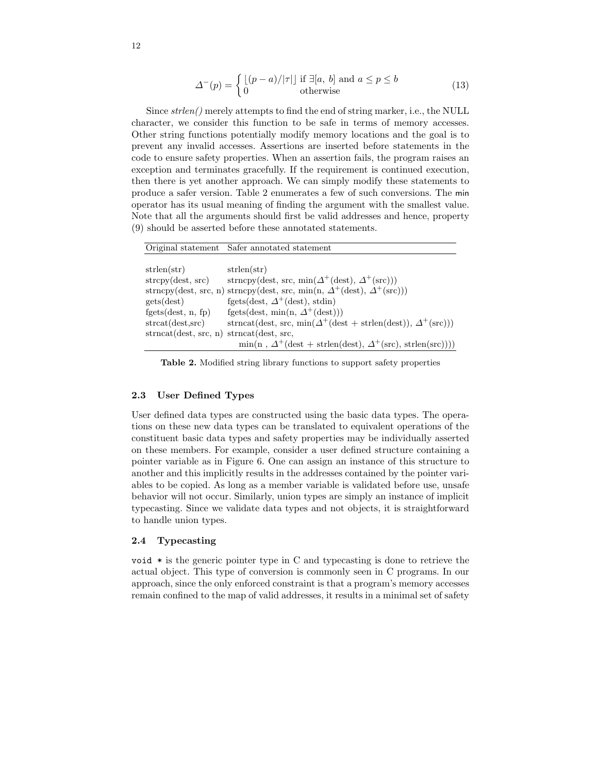$$
\Delta^{-}(p) = \begin{cases} \lfloor (p-a)/|\tau| \rfloor & \text{if } \exists [a, b] \text{ and } a \le p \le b \\ 0 & \text{otherwise} \end{cases}
$$
\n(13)

Since strlen() merely attempts to find the end of string marker, i.e., the NULL character, we consider this function to be safe in terms of memory accesses. Other string functions potentially modify memory locations and the goal is to prevent any invalid accesses. Assertions are inserted before statements in the code to ensure safety properties. When an assertion fails, the program raises an exception and terminates gracefully. If the requirement is continued execution, then there is yet another approach. We can simply modify these statements to produce a safer version. Table 2 enumerates a few of such conversions. The min operator has its usual meaning of finding the argument with the smallest value. Note that all the arguments should first be valid addresses and hence, property (9) should be asserted before these annotated statements.

|                                       | Original statement Safer annotated statement                                                                    |
|---------------------------------------|-----------------------------------------------------------------------------------------------------------------|
|                                       |                                                                                                                 |
| strlen(str)                           | strlen(str)                                                                                                     |
| $\text{stropy}(dest, src)$            | strncpy(dest, src, min( $\Delta^+(\text{dest})$ , $\Delta^+(\text{src})$ ))                                     |
|                                       | strncpy(dest, src, n) strncpy(dest, src, min(n, $\Delta^+(\text{dest})$ , $\Delta^+(\text{src})$ ))             |
| gets(det)                             | fgets(dest, $\Delta^+$ (dest), stdin)                                                                           |
| fgets(dest, n, fp)                    | fgets(dest, min(n, $\Delta^+(\text{dest}))$ )                                                                   |
| strcat(det, src)                      | strncat(dest, src, min( $\Delta^+(\text{dest} + \text{strlen}(\text{dest})), \Delta^+(\text{src}))$ )           |
| strncat(det, src, n) structdest, src, |                                                                                                                 |
|                                       | $\min(n, \Delta^+(\text{dest} + \text{strlen}(\text{dest}), \Delta^+(\text{src}), \text{strlen}(\text{src}))))$ |

Table 2. Modified string library functions to support safety properties

### 2.3 User Defined Types

User defined data types are constructed using the basic data types. The operations on these new data types can be translated to equivalent operations of the constituent basic data types and safety properties may be individually asserted on these members. For example, consider a user defined structure containing a pointer variable as in Figure 6. One can assign an instance of this structure to another and this implicitly results in the addresses contained by the pointer variables to be copied. As long as a member variable is validated before use, unsafe behavior will not occur. Similarly, union types are simply an instance of implicit typecasting. Since we validate data types and not objects, it is straightforward to handle union types.

### 2.4 Typecasting

void \* is the generic pointer type in C and typecasting is done to retrieve the actual object. This type of conversion is commonly seen in C programs. In our approach, since the only enforced constraint is that a program's memory accesses remain confined to the map of valid addresses, it results in a minimal set of safety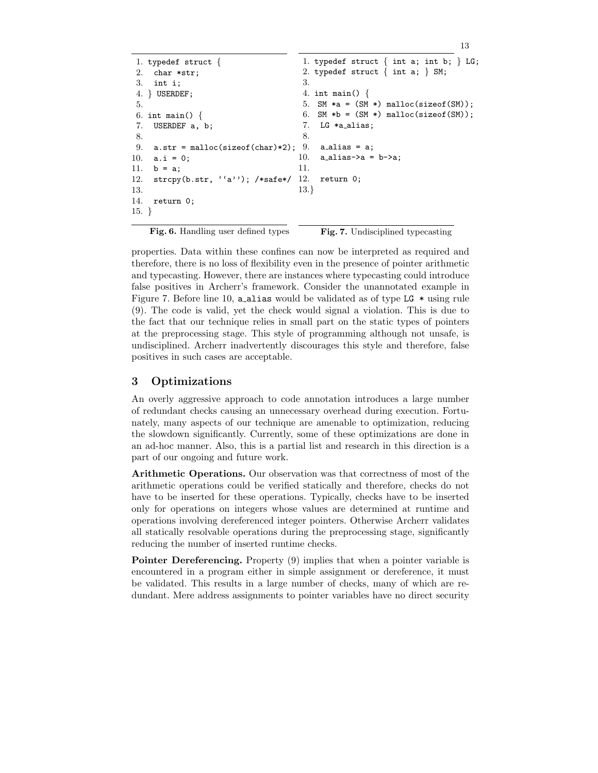```
1. typedef struct {
 2. char *str;
 3. int i;
 4. } USERDEF;
 5.
 6. int main() \{7. USERDEF a, b;
 8.
 9. a. str = malloc(sizeof(char)*2);
10. a.i = 0;11. b = a;12. strcpy(b.str, ('a''); /*safe*/ 12.
13.
14. return 0;
15. }
                                       1. typedef struct { int a; int b; } LG;
                                       2. typedef struct \{ int a; \} SM;
                                       3.
                                       4. int main() {
                                       5. SM *a = (SM * ) malloc(sizeof(SM));
                                       6. SM *b = (SM * ) malloc(sizeof(SM));
                                       7. LG *a alias;
                                       8.
                                       9. a_{\text{alias}} = a;10. a_alias->a = b->a;
                                      11.
                                           return 0;
                                      13.}
```
13

Fig. 6. Handling user defined types Fig. 7. Undisciplined typecasting

properties. Data within these confines can now be interpreted as required and therefore, there is no loss of flexibility even in the presence of pointer arithmetic and typecasting. However, there are instances where typecasting could introduce false positives in Archerr's framework. Consider the unannotated example in Figure 7. Before line 10, a alias would be validated as of type LG \* using rule (9). The code is valid, yet the check would signal a violation. This is due to the fact that our technique relies in small part on the static types of pointers at the preprocessing stage. This style of programming although not unsafe, is undisciplined. Archerr inadvertently discourages this style and therefore, false positives in such cases are acceptable.

## 3 Optimizations

An overly aggressive approach to code annotation introduces a large number of redundant checks causing an unnecessary overhead during execution. Fortunately, many aspects of our technique are amenable to optimization, reducing the slowdown significantly. Currently, some of these optimizations are done in an ad-hoc manner. Also, this is a partial list and research in this direction is a part of our ongoing and future work.

Arithmetic Operations. Our observation was that correctness of most of the arithmetic operations could be verified statically and therefore, checks do not have to be inserted for these operations. Typically, checks have to be inserted only for operations on integers whose values are determined at runtime and operations involving dereferenced integer pointers. Otherwise Archerr validates all statically resolvable operations during the preprocessing stage, significantly reducing the number of inserted runtime checks.

Pointer Dereferencing. Property (9) implies that when a pointer variable is encountered in a program either in simple assignment or dereference, it must be validated. This results in a large number of checks, many of which are redundant. Mere address assignments to pointer variables have no direct security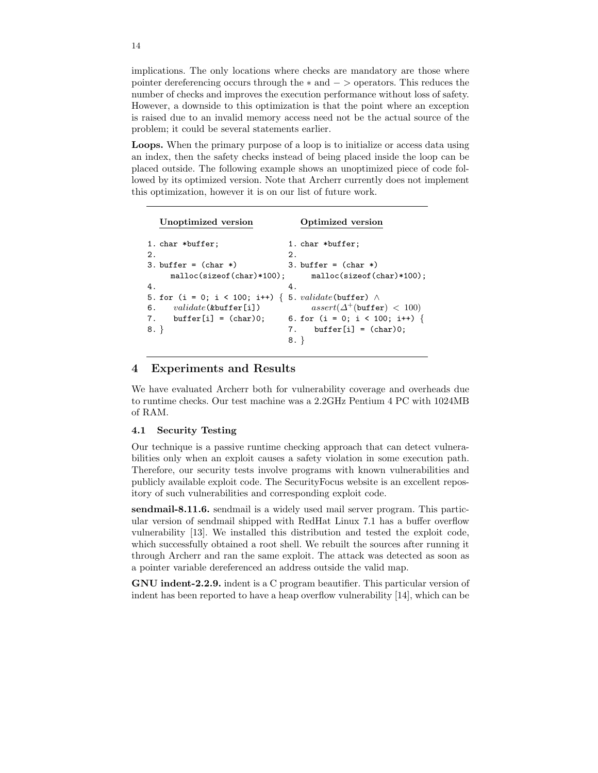implications. The only locations where checks are mandatory are those where pointer dereferencing occurs through the  $*$  and  $-$  > operators. This reduces the number of checks and improves the execution performance without loss of safety. However, a downside to this optimization is that the point where an exception is raised due to an invalid memory access need not be the actual source of the problem; it could be several statements earlier.

Loops. When the primary purpose of a loop is to initialize or access data using an index, then the safety checks instead of being placed inside the loop can be placed outside. The following example shows an unoptimized piece of code followed by its optimized version. Note that Archerr currently does not implement this optimization, however it is on our list of future work.

| Unoptimized version                                                | Optimized version                       |
|--------------------------------------------------------------------|-----------------------------------------|
| 1. char *buffer;                                                   | 1. char *buffer;                        |
| 2.                                                                 | 2.                                      |
| 3. buffer = $(char *)$                                             | 3. buffer = $(char *)$                  |
| $malloc(sizeof(char)*100);$                                        | $malloc(sizeof(char)*100);$             |
| 4.                                                                 | 4.                                      |
| 5. for (i = 0; i < 100; i++) { 5. <i>validate</i> (buffer) $\land$ |                                         |
| $validate$ (&buffer[i])<br>6.                                      | $assert(\Delta^+(\text{buffer}) < 100)$ |
| 7. $buffer[i] = (char)0;$                                          | 6. for $(i = 0; i < 100; i++)$ {        |
| $8. \}$                                                            | 7. $buffer[i] = (char)0;$               |
|                                                                    | 8. }                                    |

### 4 Experiments and Results

We have evaluated Archerr both for vulnerability coverage and overheads due to runtime checks. Our test machine was a 2.2GHz Pentium 4 PC with 1024MB of RAM.

### 4.1 Security Testing

Our technique is a passive runtime checking approach that can detect vulnerabilities only when an exploit causes a safety violation in some execution path. Therefore, our security tests involve programs with known vulnerabilities and publicly available exploit code. The SecurityFocus website is an excellent repository of such vulnerabilities and corresponding exploit code.

sendmail-8.11.6. sendmail is a widely used mail server program. This particular version of sendmail shipped with RedHat Linux 7.1 has a buffer overflow vulnerability [13]. We installed this distribution and tested the exploit code, which successfully obtained a root shell. We rebuilt the sources after running it through Archerr and ran the same exploit. The attack was detected as soon as a pointer variable dereferenced an address outside the valid map.

GNU indent-2.2.9. indent is a C program beautifier. This particular version of indent has been reported to have a heap overflow vulnerability [14], which can be

14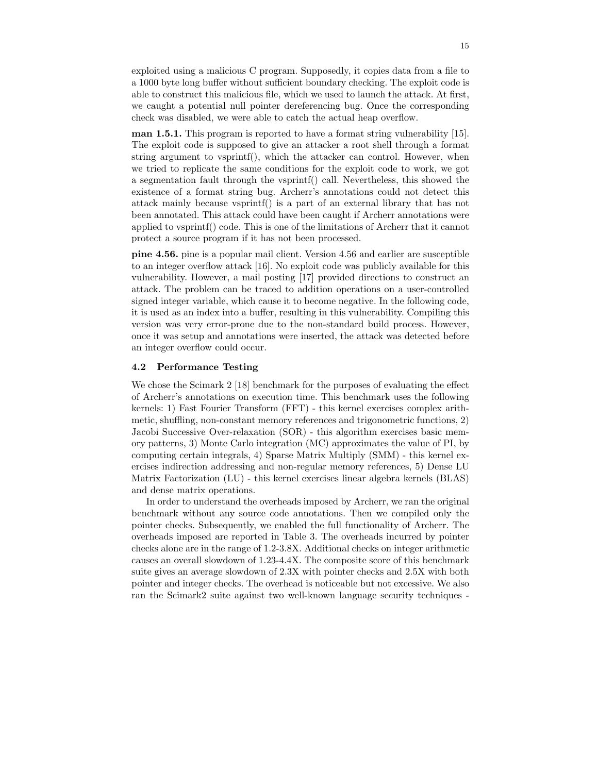exploited using a malicious C program. Supposedly, it copies data from a file to a 1000 byte long buffer without sufficient boundary checking. The exploit code is able to construct this malicious file, which we used to launch the attack. At first, we caught a potential null pointer dereferencing bug. Once the corresponding check was disabled, we were able to catch the actual heap overflow.

man 1.5.1. This program is reported to have a format string vulnerability [15]. The exploit code is supposed to give an attacker a root shell through a format string argument to vsprintf(), which the attacker can control. However, when we tried to replicate the same conditions for the exploit code to work, we got a segmentation fault through the vsprintf() call. Nevertheless, this showed the existence of a format string bug. Archerr's annotations could not detect this attack mainly because vsprintf() is a part of an external library that has not been annotated. This attack could have been caught if Archerr annotations were applied to vsprintf() code. This is one of the limitations of Archerr that it cannot protect a source program if it has not been processed.

pine 4.56. pine is a popular mail client. Version 4.56 and earlier are susceptible to an integer overflow attack [16]. No exploit code was publicly available for this vulnerability. However, a mail posting [17] provided directions to construct an attack. The problem can be traced to addition operations on a user-controlled signed integer variable, which cause it to become negative. In the following code, it is used as an index into a buffer, resulting in this vulnerability. Compiling this version was very error-prone due to the non-standard build process. However, once it was setup and annotations were inserted, the attack was detected before an integer overflow could occur.

#### 4.2 Performance Testing

We chose the Scimark 2 [18] benchmark for the purposes of evaluating the effect of Archerr's annotations on execution time. This benchmark uses the following kernels: 1) Fast Fourier Transform (FFT) - this kernel exercises complex arithmetic, shuffling, non-constant memory references and trigonometric functions, 2) Jacobi Successive Over-relaxation (SOR) - this algorithm exercises basic memory patterns, 3) Monte Carlo integration (MC) approximates the value of PI, by computing certain integrals, 4) Sparse Matrix Multiply (SMM) - this kernel exercises indirection addressing and non-regular memory references, 5) Dense LU Matrix Factorization (LU) - this kernel exercises linear algebra kernels (BLAS) and dense matrix operations.

In order to understand the overheads imposed by Archerr, we ran the original benchmark without any source code annotations. Then we compiled only the pointer checks. Subsequently, we enabled the full functionality of Archerr. The overheads imposed are reported in Table 3. The overheads incurred by pointer checks alone are in the range of 1.2-3.8X. Additional checks on integer arithmetic causes an overall slowdown of 1.23-4.4X. The composite score of this benchmark suite gives an average slowdown of 2.3X with pointer checks and 2.5X with both pointer and integer checks. The overhead is noticeable but not excessive. We also ran the Scimark2 suite against two well-known language security techniques -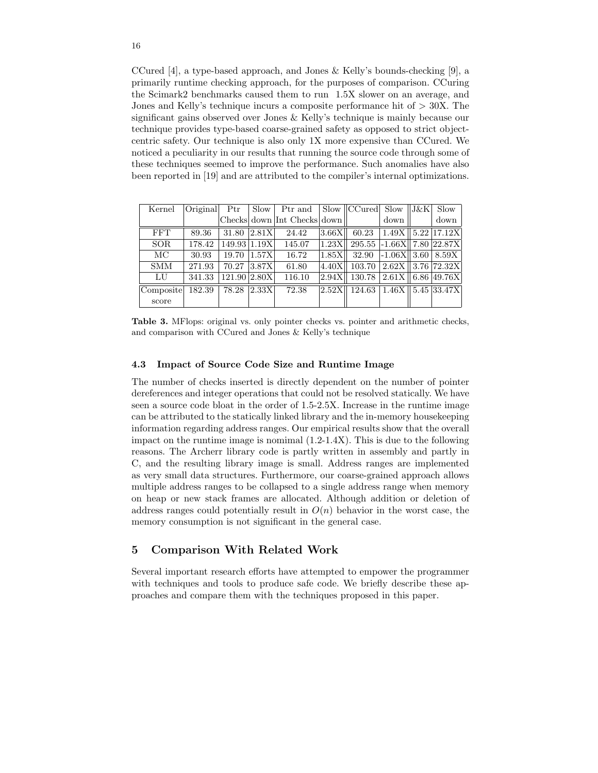CCured [4], a type-based approach, and Jones & Kelly's bounds-checking [9], a primarily runtime checking approach, for the purposes of comparison. CCuring the Scimark2 benchmarks caused them to run 1.5X slower on an average, and Jones and Kelly's technique incurs a composite performance hit of > 30X. The significant gains observed over Jones & Kelly's technique is mainly because our technique provides type-based coarse-grained safety as opposed to strict objectcentric safety. Our technique is also only 1X more expensive than CCured. We noticed a peculiarity in our results that running the source code through some of these techniques seemed to improve the performance. Such anomalies have also been reported in [19] and are attributed to the compiler's internal optimizations.

| Kernel     | $\overline{\text{Original}}$ | Ptr          | Slow  | Ptr and $ \text{ Slow}  $ CCured $ \text{ Slow}  $ J&K |       |                           |                           | Slow                |
|------------|------------------------------|--------------|-------|--------------------------------------------------------|-------|---------------------------|---------------------------|---------------------|
|            |                              |              |       | Checks down Int Checks down                            |       |                           | down                      | down                |
| <b>FFT</b> | 89.36                        | 31.80        | 2.81X | 24.42                                                  | 3.66X | 60.23                     |                           | $1.49X$ 5.22 17.12X |
| SOR.       | 178.42                       | 149.93 1.19X |       | 145.07                                                 | 1.23X | 295.55 -1.66X 7.80 22.87X |                           |                     |
| МC         | 30.93                        | 19.70        | 1.57X | 16.72                                                  | 1.85X | 32.90                     | $-1.06X$ 3.60 $\pm$ 8.59X |                     |
| <b>SMM</b> | 271.93                       | 70.27        | 3.87X | 61.80                                                  | 4.40X | 103.70                    |                           | $2.62X$ 3.76 72.32X |
| LU         | 341.33                       | 121.90 2.80X |       | 116.10                                                 |       | $2.94X$ 130.78            |                           | $2.61X$ 6.86 49.76X |
| Composite  | 182.39                       | 78.28        | 2.33X | 72.38                                                  |       | $2.52X$ 124.63            |                           | $1.46X$ 5.45 33.47X |
| score      |                              |              |       |                                                        |       |                           |                           |                     |

Table 3. MFlops: original vs. only pointer checks vs. pointer and arithmetic checks, and comparison with CCured and Jones & Kelly's technique

### 4.3 Impact of Source Code Size and Runtime Image

The number of checks inserted is directly dependent on the number of pointer dereferences and integer operations that could not be resolved statically. We have seen a source code bloat in the order of 1.5-2.5X. Increase in the runtime image can be attributed to the statically linked library and the in-memory housekeeping information regarding address ranges. Our empirical results show that the overall impact on the runtime image is nomimal (1.2-1.4X). This is due to the following reasons. The Archerr library code is partly written in assembly and partly in C, and the resulting library image is small. Address ranges are implemented as very small data structures. Furthermore, our coarse-grained approach allows multiple address ranges to be collapsed to a single address range when memory on heap or new stack frames are allocated. Although addition or deletion of address ranges could potentially result in  $O(n)$  behavior in the worst case, the memory consumption is not significant in the general case.

### 5 Comparison With Related Work

Several important research efforts have attempted to empower the programmer with techniques and tools to produce safe code. We briefly describe these approaches and compare them with the techniques proposed in this paper.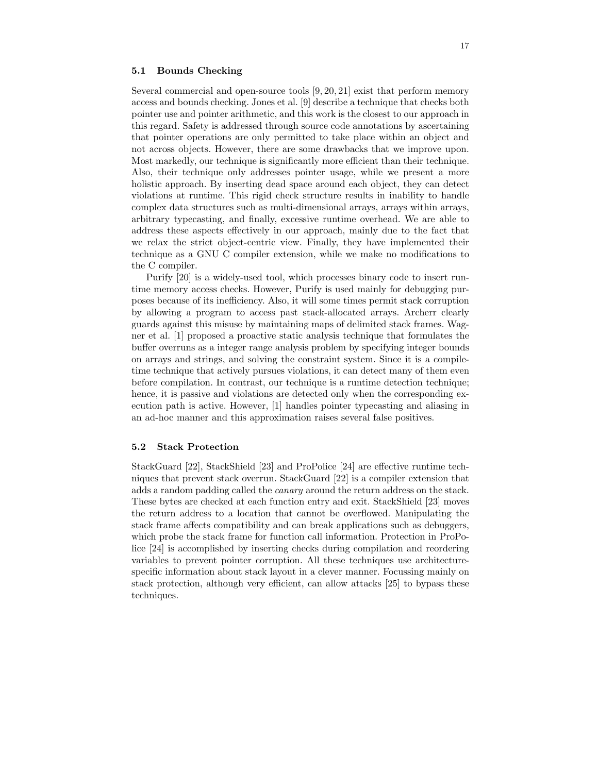### 5.1 Bounds Checking

Several commercial and open-source tools [9, 20, 21] exist that perform memory access and bounds checking. Jones et al. [9] describe a technique that checks both pointer use and pointer arithmetic, and this work is the closest to our approach in this regard. Safety is addressed through source code annotations by ascertaining that pointer operations are only permitted to take place within an object and not across objects. However, there are some drawbacks that we improve upon. Most markedly, our technique is significantly more efficient than their technique. Also, their technique only addresses pointer usage, while we present a more holistic approach. By inserting dead space around each object, they can detect violations at runtime. This rigid check structure results in inability to handle complex data structures such as multi-dimensional arrays, arrays within arrays, arbitrary typecasting, and finally, excessive runtime overhead. We are able to address these aspects effectively in our approach, mainly due to the fact that we relax the strict object-centric view. Finally, they have implemented their technique as a GNU C compiler extension, while we make no modifications to the C compiler.

Purify [20] is a widely-used tool, which processes binary code to insert runtime memory access checks. However, Purify is used mainly for debugging purposes because of its inefficiency. Also, it will some times permit stack corruption by allowing a program to access past stack-allocated arrays. Archerr clearly guards against this misuse by maintaining maps of delimited stack frames. Wagner et al. [1] proposed a proactive static analysis technique that formulates the buffer overruns as a integer range analysis problem by specifying integer bounds on arrays and strings, and solving the constraint system. Since it is a compiletime technique that actively pursues violations, it can detect many of them even before compilation. In contrast, our technique is a runtime detection technique; hence, it is passive and violations are detected only when the corresponding execution path is active. However, [1] handles pointer typecasting and aliasing in an ad-hoc manner and this approximation raises several false positives.

### 5.2 Stack Protection

StackGuard [22], StackShield [23] and ProPolice [24] are effective runtime techniques that prevent stack overrun. StackGuard [22] is a compiler extension that adds a random padding called the canary around the return address on the stack. These bytes are checked at each function entry and exit. StackShield [23] moves the return address to a location that cannot be overflowed. Manipulating the stack frame affects compatibility and can break applications such as debuggers, which probe the stack frame for function call information. Protection in ProPolice [24] is accomplished by inserting checks during compilation and reordering variables to prevent pointer corruption. All these techniques use architecturespecific information about stack layout in a clever manner. Focussing mainly on stack protection, although very efficient, can allow attacks [25] to bypass these techniques.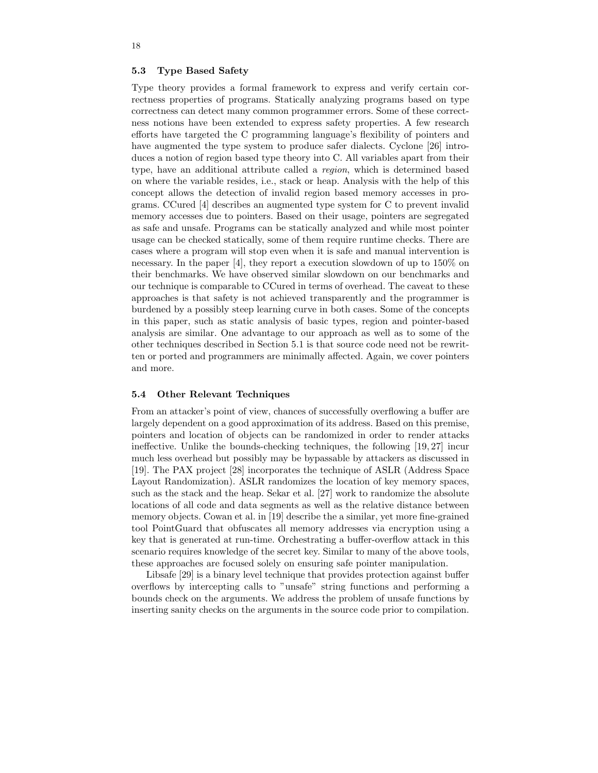### 5.3 Type Based Safety

Type theory provides a formal framework to express and verify certain correctness properties of programs. Statically analyzing programs based on type correctness can detect many common programmer errors. Some of these correctness notions have been extended to express safety properties. A few research efforts have targeted the C programming language's flexibility of pointers and have augmented the type system to produce safer dialects. Cyclone [26] introduces a notion of region based type theory into C. All variables apart from their type, have an additional attribute called a region, which is determined based on where the variable resides, i.e., stack or heap. Analysis with the help of this concept allows the detection of invalid region based memory accesses in programs. CCured [4] describes an augmented type system for C to prevent invalid memory accesses due to pointers. Based on their usage, pointers are segregated as safe and unsafe. Programs can be statically analyzed and while most pointer usage can be checked statically, some of them require runtime checks. There are cases where a program will stop even when it is safe and manual intervention is necessary. In the paper [4], they report a execution slowdown of up to 150% on their benchmarks. We have observed similar slowdown on our benchmarks and our technique is comparable to CCured in terms of overhead. The caveat to these approaches is that safety is not achieved transparently and the programmer is burdened by a possibly steep learning curve in both cases. Some of the concepts in this paper, such as static analysis of basic types, region and pointer-based analysis are similar. One advantage to our approach as well as to some of the other techniques described in Section 5.1 is that source code need not be rewritten or ported and programmers are minimally affected. Again, we cover pointers and more.

### 5.4 Other Relevant Techniques

From an attacker's point of view, chances of successfully overflowing a buffer are largely dependent on a good approximation of its address. Based on this premise, pointers and location of objects can be randomized in order to render attacks ineffective. Unlike the bounds-checking techniques, the following [19, 27] incur much less overhead but possibly may be bypassable by attackers as discussed in [19]. The PAX project [28] incorporates the technique of ASLR (Address Space Layout Randomization). ASLR randomizes the location of key memory spaces, such as the stack and the heap. Sekar et al. [27] work to randomize the absolute locations of all code and data segments as well as the relative distance between memory objects. Cowan et al. in [19] describe the a similar, yet more fine-grained tool PointGuard that obfuscates all memory addresses via encryption using a key that is generated at run-time. Orchestrating a buffer-overflow attack in this scenario requires knowledge of the secret key. Similar to many of the above tools, these approaches are focused solely on ensuring safe pointer manipulation.

Libsafe [29] is a binary level technique that provides protection against buffer overflows by intercepting calls to "unsafe" string functions and performing a bounds check on the arguments. We address the problem of unsafe functions by inserting sanity checks on the arguments in the source code prior to compilation.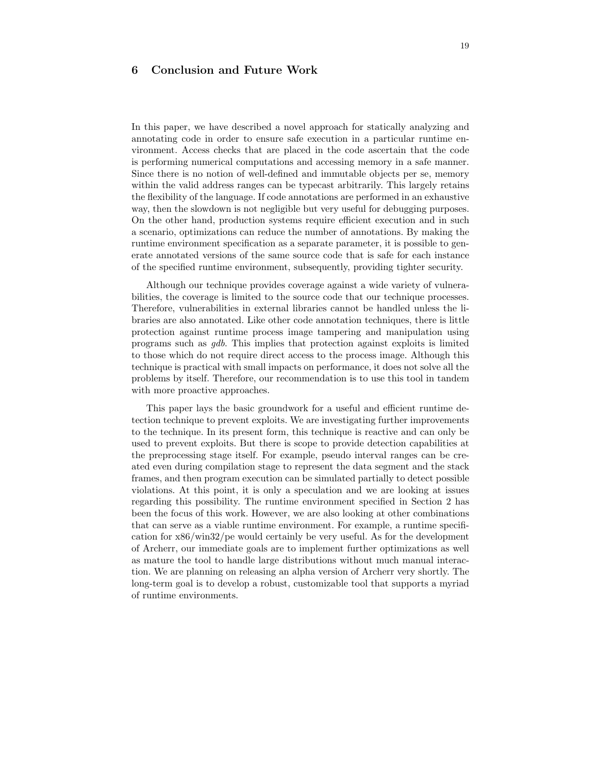# 6 Conclusion and Future Work

In this paper, we have described a novel approach for statically analyzing and annotating code in order to ensure safe execution in a particular runtime environment. Access checks that are placed in the code ascertain that the code is performing numerical computations and accessing memory in a safe manner. Since there is no notion of well-defined and immutable objects per se, memory within the valid address ranges can be typecast arbitrarily. This largely retains the flexibility of the language. If code annotations are performed in an exhaustive way, then the slowdown is not negligible but very useful for debugging purposes. On the other hand, production systems require efficient execution and in such a scenario, optimizations can reduce the number of annotations. By making the runtime environment specification as a separate parameter, it is possible to generate annotated versions of the same source code that is safe for each instance of the specified runtime environment, subsequently, providing tighter security.

Although our technique provides coverage against a wide variety of vulnerabilities, the coverage is limited to the source code that our technique processes. Therefore, vulnerabilities in external libraries cannot be handled unless the libraries are also annotated. Like other code annotation techniques, there is little protection against runtime process image tampering and manipulation using programs such as gdb. This implies that protection against exploits is limited to those which do not require direct access to the process image. Although this technique is practical with small impacts on performance, it does not solve all the problems by itself. Therefore, our recommendation is to use this tool in tandem with more proactive approaches.

This paper lays the basic groundwork for a useful and efficient runtime detection technique to prevent exploits. We are investigating further improvements to the technique. In its present form, this technique is reactive and can only be used to prevent exploits. But there is scope to provide detection capabilities at the preprocessing stage itself. For example, pseudo interval ranges can be created even during compilation stage to represent the data segment and the stack frames, and then program execution can be simulated partially to detect possible violations. At this point, it is only a speculation and we are looking at issues regarding this possibility. The runtime environment specified in Section 2 has been the focus of this work. However, we are also looking at other combinations that can serve as a viable runtime environment. For example, a runtime specification for x86/win32/pe would certainly be very useful. As for the development of Archerr, our immediate goals are to implement further optimizations as well as mature the tool to handle large distributions without much manual interaction. We are planning on releasing an alpha version of Archerr very shortly. The long-term goal is to develop a robust, customizable tool that supports a myriad of runtime environments.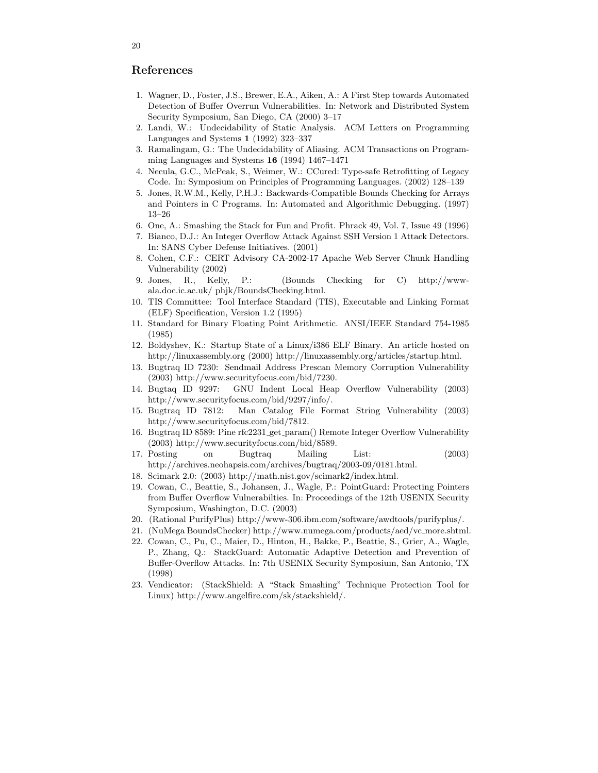### References

- 1. Wagner, D., Foster, J.S., Brewer, E.A., Aiken, A.: A First Step towards Automated Detection of Buffer Overrun Vulnerabilities. In: Network and Distributed System Security Symposium, San Diego, CA (2000) 3–17
- 2. Landi, W.: Undecidability of Static Analysis. ACM Letters on Programming Languages and Systems 1 (1992) 323–337
- 3. Ramalingam, G.: The Undecidability of Aliasing. ACM Transactions on Programming Languages and Systems 16 (1994) 1467–1471
- 4. Necula, G.C., McPeak, S., Weimer, W.: CCured: Type-safe Retrofitting of Legacy Code. In: Symposium on Principles of Programming Languages. (2002) 128–139
- 5. Jones, R.W.M., Kelly, P.H.J.: Backwards-Compatible Bounds Checking for Arrays and Pointers in C Programs. In: Automated and Algorithmic Debugging. (1997) 13–26
- 6. One, A.: Smashing the Stack for Fun and Profit. Phrack 49, Vol. 7, Issue 49 (1996)
- 7. Bianco, D.J.: An Integer Overflow Attack Against SSH Version 1 Attack Detectors. In: SANS Cyber Defense Initiatives. (2001)
- 8. Cohen, C.F.: CERT Advisory CA-2002-17 Apache Web Server Chunk Handling Vulnerability (2002)
- 9. Jones, R., Kelly, P.: (Bounds Checking for C) http://wwwala.doc.ic.ac.uk/ phjk/BoundsChecking.html.
- 10. TIS Committee: Tool Interface Standard (TIS), Executable and Linking Format (ELF) Specification, Version 1.2 (1995)
- 11. Standard for Binary Floating Point Arithmetic. ANSI/IEEE Standard 754-1985 (1985)
- 12. Boldyshev, K.: Startup State of a Linux/i386 ELF Binary. An article hosted on http://linuxassembly.org (2000) http://linuxassembly.org/articles/startup.html.
- 13. Bugtraq ID 7230: Sendmail Address Prescan Memory Corruption Vulnerability (2003) http://www.securityfocus.com/bid/7230.
- 14. Bugtaq ID 9297: GNU Indent Local Heap Overflow Vulnerability (2003) http://www.securityfocus.com/bid/9297/info/.
- 15. Bugtraq ID 7812: Man Catalog File Format String Vulnerability (2003) http://www.securityfocus.com/bid/7812.
- 16. Bugtraq ID 8589: Pine rfc2231 get param() Remote Integer Overflow Vulnerability (2003) http://www.securityfocus.com/bid/8589.
- 17. Posting on Bugtraq Mailing List: (2003) http://archives.neohapsis.com/archives/bugtraq/2003-09/0181.html.
- 18. Scimark 2.0: (2003) http://math.nist.gov/scimark2/index.html.
- 19. Cowan, C., Beattie, S., Johansen, J., Wagle, P.: PointGuard: Protecting Pointers from Buffer Overflow Vulnerabilties. In: Proceedings of the 12th USENIX Security Symposium, Washington, D.C. (2003)
- 20. (Rational PurifyPlus) http://www-306.ibm.com/software/awdtools/purifyplus/.
- 21. (NuMega BoundsChecker) http://www.numega.com/products/aed/vc more.shtml.
- 22. Cowan, C., Pu, C., Maier, D., Hinton, H., Bakke, P., Beattie, S., Grier, A., Wagle, P., Zhang, Q.: StackGuard: Automatic Adaptive Detection and Prevention of Buffer-Overflow Attacks. In: 7th USENIX Security Symposium, San Antonio, TX (1998)
- 23. Vendicator: (StackShield: A "Stack Smashing" Technique Protection Tool for Linux) http://www.angelfire.com/sk/stackshield/.